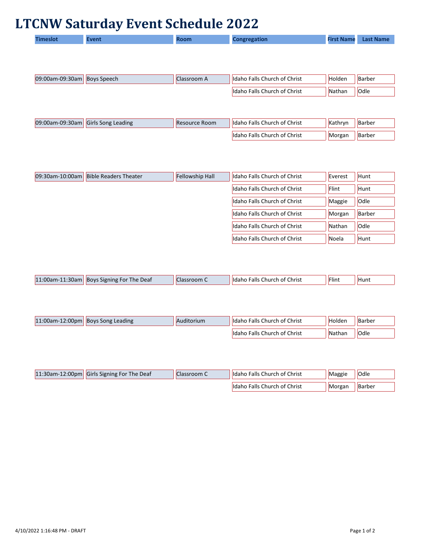## **LTCNW Saturday Event Schedule 2022**

| Timeslot | Event | <b>Room</b> | Congregation | <b>First Name</b> | <b>Last Name</b> |
|----------|-------|-------------|--------------|-------------------|------------------|
|----------|-------|-------------|--------------|-------------------|------------------|

| 09:00am-09:30am   Boys Speech | Classroom A | Idaho Falls Church of Christ | Holden | Barber      |
|-------------------------------|-------------|------------------------------|--------|-------------|
|                               |             | Idaho Falls Church of Christ | Nathan | <b>Odle</b> |
|                               |             |                              |        |             |
|                               |             |                              |        |             |

| 09:00am-09:30am Girls Song Leading | Resource Room | I IIdaho Falls Church of Christ | Kathrvn | Barber |
|------------------------------------|---------------|---------------------------------|---------|--------|
|                                    |               | Idaho Falls Church of Christ    | Morgan  | Barber |

| 09:30am-10:00am | <b>Bible Readers Theater</b> | <b>Fellowship Hall</b> | Idaho Falls Church of Christ | Everest | Hunt        |
|-----------------|------------------------------|------------------------|------------------------------|---------|-------------|
|                 |                              |                        | Idaho Falls Church of Christ | Flint   | Hunt        |
|                 |                              |                        | Idaho Falls Church of Christ | Maggie  | Odle        |
|                 |                              |                        | Idaho Falls Church of Christ | Morgan  | Barber      |
|                 |                              |                        | Idaho Falls Church of Christ | Nathan  | <b>Odle</b> |
|                 |                              |                        | Idaho Falls Church of Christ | Noela   | Hunt        |

| 11:00am-11<br>$1:30$ am | Boys Signing For The Deaf | oom | , Falls Church of Christ<br>lidaho | Flint | Hunt |
|-------------------------|---------------------------|-----|------------------------------------|-------|------|
|                         |                           |     |                                    |       |      |

| $11:00$ am-12:00pm Boys Song Leading | Auditorium | Idaho Falls Church of Christ | Holden | Barber      |
|--------------------------------------|------------|------------------------------|--------|-------------|
|                                      |            | ldaho Falls Church of Christ | Nathan | <b>Odle</b> |

| 11:30am-12:00pm Girls Signing For The Deaf | Classroom C | Idaho Falls Church of Christ  | Maggie | Odle   |
|--------------------------------------------|-------------|-------------------------------|--------|--------|
|                                            |             | Ildaho Falls Church of Christ | Morgan | Barber |